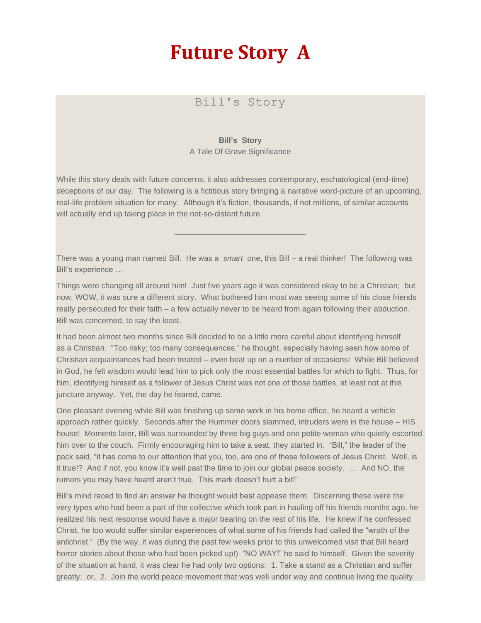## **Future Story A**

## Bill's Story

## **Bill's Story**

A Tale Of Grave Significance

While this story deals with future concerns, it also addresses contemporary, eschatological (end-time) deceptions of our day. The following is a fictitious story bringing a narrative word-picture of an upcoming, real-life problem situation for many. Although it's fiction, thousands, if not millions, of similar accounts will actually end up taking place in the not-so-distant future.

\_\_\_\_\_\_\_\_\_\_\_\_\_\_\_\_\_\_\_\_\_\_\_\_\_\_\_\_\_\_

There was a young man named Bill. He was a *smart* one, this Bill – a real thinker! The following was Bill's experience …

Things were changing all around him! Just five years ago it was considered okay to be a Christian; but now, WOW, it was sure a different story. What bothered him most was seeing some of his close friends really persecuted for their faith – a few actually never to be heard from again following their abduction. Bill was concerned, to say the least.

It had been almost two months since Bill decided to be a little more careful about identifying himself as a Christian. "Too risky; too many consequences," he thought, especially having seen how some of Christian acquaintances had been treated – even beat up on a number of occasions! While Bill believed in God, he felt wisdom would lead him to pick only the most essential battles for which to fight. Thus, for him, identifying himself as a follower of Jesus Christ was not one of those battles, at least not at this juncture anyway. Yet, the day he feared, came.

One pleasant evening while Bill was finishing up some work in his home office, he heard a vehicle approach rather quickly. Seconds after the Hummer doors slammed, intruders were in the house – HIS house! Moments later, Bill was surrounded by three big guys and one petite woman who quietly escorted him over to the couch. Firmly encouraging him to take a seat, they started in. "Bill," the leader of the pack said, "it has come to our attention that you, too, are one of these followers of Jesus Christ. Well, is it true!? And if not, you know it's well past the time to join our global peace society. … And NO, the rumors you may have heard aren't true. This mark doesn't hurt a bit!"

Bill's mind raced to find an answer he thought would best appease them. Discerning these were the very types who had been a part of the collective which took part in hauling off his friends months ago, he realized his next response would have a major bearing on the rest of his life. He knew if he confessed Christ, he too would suffer similar experiences of what some of his friends had called the "wrath of the antichrist." (By the way, it was during the past few weeks prior to this unwelcomed visit that Bill heard horror stories about those who had been picked up!) "NO WAY!" he said to himself. Given the severity of the situation at hand, it was clear he had only two options: 1. Take a stand as a Christian and suffer greatly; or, 2. Join the world peace movement that was well under way and continue living the quality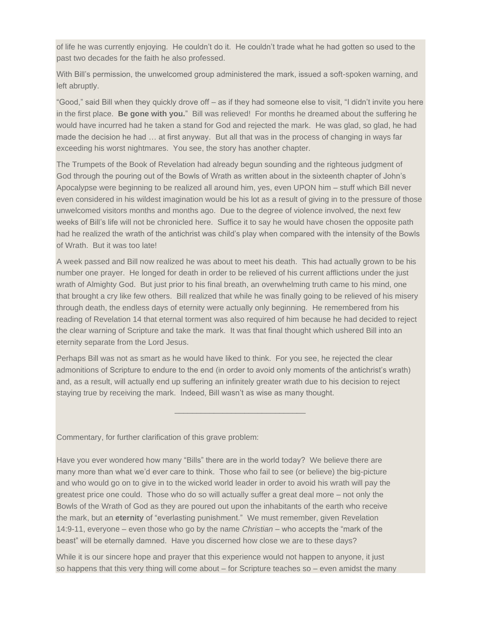of life he was currently enjoying. He couldn't do it. He couldn't trade what he had gotten so used to the past two decades for the faith he also professed.

With Bill's permission, the unwelcomed group administered the mark, issued a soft-spoken warning, and left abruptly.

"Good," said Bill when they quickly drove off – as if they had someone else to visit, "I didn't invite you here in the first place. **Be gone with you.**" Bill was relieved! For months he dreamed about the suffering he would have incurred had he taken a stand for God and rejected the mark. He was glad, so glad, he had made the decision he had … at first anyway. But all that was in the process of changing in ways far exceeding his worst nightmares. You see, the story has another chapter.

The Trumpets of the Book of Revelation had already begun sounding and the righteous judgment of God through the pouring out of the Bowls of Wrath as written about in the sixteenth chapter of John's Apocalypse were beginning to be realized all around him, yes, even UPON him – stuff which Bill never even considered in his wildest imagination would be his lot as a result of giving in to the pressure of those unwelcomed visitors months and months ago. Due to the degree of violence involved, the next few weeks of Bill's life will not be chronicled here. Suffice it to say he would have chosen the opposite path had he realized the wrath of the antichrist was child's play when compared with the intensity of the Bowls of Wrath. But it was too late!

A week passed and Bill now realized he was about to meet his death. This had actually grown to be his number one prayer. He longed for death in order to be relieved of his current afflictions under the just wrath of Almighty God. But just prior to his final breath, an overwhelming truth came to his mind, one that brought a cry like few others. Bill realized that while he was finally going to be relieved of his misery through death, the endless days of eternity were actually only beginning. He remembered from his reading of Revelation 14 that eternal torment was also required of him because he had decided to reject the clear warning of Scripture and take the mark. It was that final thought which ushered Bill into an eternity separate from the Lord Jesus.

Perhaps Bill was not as smart as he would have liked to think. For you see, he rejected the clear admonitions of Scripture to endure to the end (in order to avoid only moments of the antichrist's wrath) and, as a result, will actually end up suffering an infinitely greater wrath due to his decision to reject staying true by receiving the mark. Indeed, Bill wasn't as wise as many thought.

\_\_\_\_\_\_\_\_\_\_\_\_\_\_\_\_\_\_\_\_\_\_\_\_\_\_\_\_\_\_

Commentary, for further clarification of this grave problem:

Have you ever wondered how many "Bills" there are in the world today? We believe there are many more than what we'd ever care to think. Those who fail to see (or believe) the big-picture and who would go on to give in to the wicked world leader in order to avoid his wrath will pay the greatest price one could. Those who do so will actually suffer a great deal more – not only the Bowls of the Wrath of God as they are poured out upon the inhabitants of the earth who receive the mark, but an **eternity** of "everlasting punishment." We must remember, given Revelation 14:9-11, everyone – even those who go by the name *Christian* – who accepts the "mark of the beast" will be eternally damned. Have you discerned how close we are to these days?

While it is our sincere hope and prayer that this experience would not happen to anyone, it just so happens that this very thing will come about – for Scripture teaches so – even amidst the many